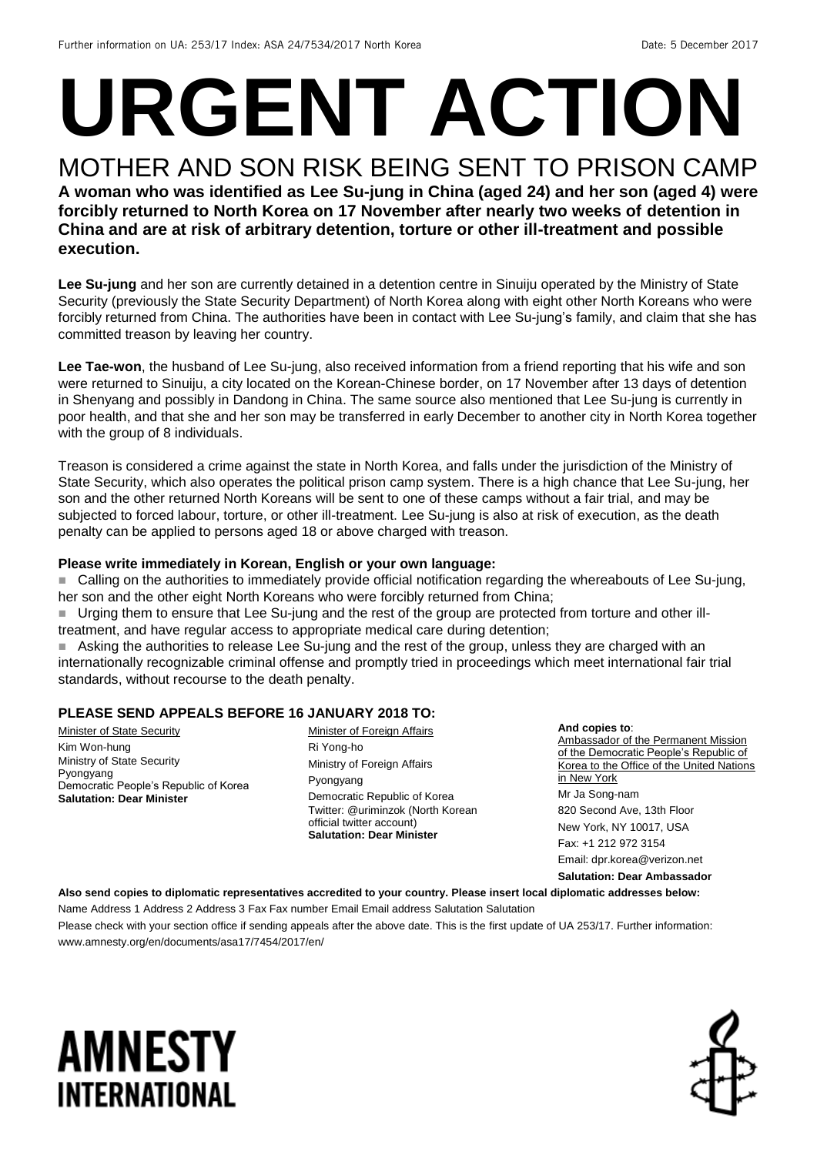# **URGENT ACTION**

#### MOTHER AND SON RISK BEING SENT TO PRISON CAMP **A woman who was identified as Lee Su-jung in China (aged 24) and her son (aged 4) were forcibly returned to North Korea on 17 November after nearly two weeks of detention in China and are at risk of arbitrary detention, torture or other ill-treatment and possible execution.**

**Lee Su-jung** and her son are currently detained in a detention centre in Sinuiju operated by the Ministry of State Security (previously the State Security Department) of North Korea along with eight other North Koreans who were forcibly returned from China. The authorities have been in contact with Lee Su-jung's family, and claim that she has committed treason by leaving her country.

**Lee Tae-won**, the husband of Lee Su-jung, also received information from a friend reporting that his wife and son were returned to Sinuiju, a city located on the Korean-Chinese border, on 17 November after 13 days of detention in Shenyang and possibly in Dandong in China. The same source also mentioned that Lee Su-jung is currently in poor health, and that she and her son may be transferred in early December to another city in North Korea together with the group of 8 individuals.

Treason is considered a crime against the state in North Korea, and falls under the jurisdiction of the Ministry of State Security, which also operates the political prison camp system. There is a high chance that Lee Su-jung, her son and the other returned North Koreans will be sent to one of these camps without a fair trial, and may be subjected to forced labour, torture, or other ill-treatment. Lee Su-jung is also at risk of execution, as the death penalty can be applied to persons aged 18 or above charged with treason.

#### **Please write immediately in Korean, English or your own language:**

 Calling on the authorities to immediately provide official notification regarding the whereabouts of Lee Su-jung, her son and the other eight North Koreans who were forcibly returned from China;

■ Urging them to ensure that Lee Su-jung and the rest of the group are protected from torture and other illtreatment, and have regular access to appropriate medical care during detention;

 Asking the authorities to release Lee Su-jung and the rest of the group, unless they are charged with an internationally recognizable criminal offense and promptly tried in proceedings which meet international fair trial standards, without recourse to the death penalty.

#### **PLEASE SEND APPEALS BEFORE 16 JANUARY 2018 TO:**

Minister of State Security Kim Won-hung Ministry of State Security Pyongyang Democratic People's Republic of Korea **Salutation: Dear Minister**

Minister of Foreign Affairs Ri Yong-ho Ministry of Foreign Affairs Pyongyang Democratic Republic of Korea Twitter: @uriminzok (North Korean official twitter account) **Salutation: Dear Minister**

**And copies to**: Ambassador of the Permanent Mission of the Democratic People's Republic of Korea to the Office of the United Nations in New York Mr Ja Song-nam 820 Second Ave, 13th Floor New York, NY 10017, USA Fax: +1 212 972 3154 Email: dpr.korea@verizon.net

**Salutation: Dear Ambassador**

**Also send copies to diplomatic representatives accredited to your country. Please insert local diplomatic addresses below:**

Name Address 1 Address 2 Address 3 Fax Fax number Email Email address Salutation Salutation Please check with your section office if sending appeals after the above date. This is the first update of UA 253/17. Further information: www.amnesty.org/en/documents/asa17/7454/2017/en/